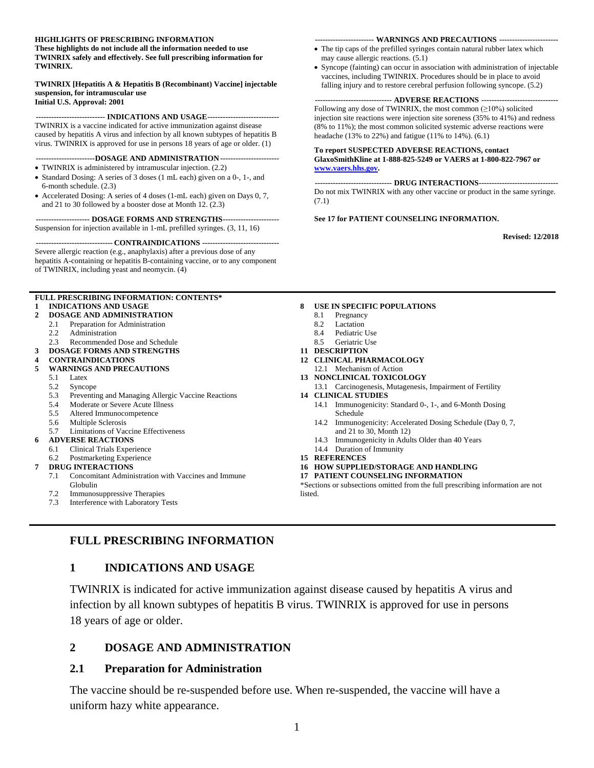#### **HIGHLIGHTS OF PRESCRIBING INFORMATION**

**These highlights do not include all the information needed to use TWINRIX safely and effectively. See full prescribing information for TWINRIX.**

#### **TWINRIX [Hepatitis A & Hepatitis B (Recombinant) Vaccine] injectable suspension, for intramuscular use Initial U.S. Approval: 2001**

**--------------------------- INDICATIONS AND USAGE----------------------------**

TWINRIX is a vaccine indicated for active immunization against disease caused by hepatitis A virus and infection by all known subtypes of hepatitis B virus. TWINRIX is approved for use in persons 18 years of age or older. (1)

- **-----------------------DOSAGE AND ADMINISTRATION-----------------------**
- TWINRIX is administered by intramuscular injection. (2.2)
- Standard Dosing: A series of 3 doses (1 mL each) given on a 0-, 1-, and 6-month schedule. (2.3)
- Accelerated Dosing: A series of 4 doses (1-mL each) given on Days 0, 7, and 21 to 30 followed by a booster dose at Month 12. (2.3)

**--------------------- DOSAGE FORMS AND STRENGTHS----------------------** Suspension for injection available in 1-mL prefilled syringes. (3, 11, 16)

**------------------------------ CONTRAINDICATIONS ------------------------------** Severe allergic reaction (e.g., anaphylaxis) after a previous dose of any hepatitis A-containing or hepatitis B-containing vaccine, or to any component of TWINRIX, including yeast and neomycin. (4)

#### **FULL PRESCRIBING INFORMATION: CONTENTS\***

#### **1 [INDICATIONS AND USAGE](#page-0-0)**

- **2 [DOSAGE AND ADMINISTRATION](#page-0-1)**
	- 2.1 [Preparation for Administration](#page-0-2)
	- 2.2 [Administration](#page-1-0)
	- 2.3 [Recommended Dose and Schedule](#page-1-1)
- **3 [DOSAGE FORMS AND STRENGTHS](#page-1-2)**
- **4 [CONTRAINDICATIONS](#page-1-3)**
- **5 [WARNINGS AND PRECAUTIONS](#page-2-0)**
	- 5.1 [Latex](#page-2-1)
	- 5.2 [Syncope](#page-2-2)
	- 5.3 [Preventing and Managing Allergic Vaccine Reactions](#page-2-3)
	- 5.4 [Moderate or Severe Acute Illness](#page-2-4)
	- 5.5 [Altered Immunocompetence](#page-2-5)
	- 5.6 [Multiple Sclerosis](#page-2-6)
	- 5.7 [Limitations of Vaccine Effectiveness](#page-2-7)
- **6 [ADVERSE REACTIONS](#page-3-0)**
	- 6.1 [Clinical Trials Experience](#page-3-1)<br>6.2 Postmarketing Experience
	- [Postmarketing Experience](#page-5-0)

#### **7 [DRUG INTERACTIONS](#page-6-0)**

- 7.1 [Concomitant Administration with Vaccines and Immune](#page-6-1)  [Globulin](#page-6-1)
- 7.2 [Immunosuppressive Therapies](#page-6-2)
- 7.3 [Interference with Laboratory Tests](#page-6-3)
- 

#### **----------------------- WARNINGS AND PRECAUTIONS -----------------------**

- The tip caps of the prefilled syringes contain natural rubber latex which may cause allergic reactions. (5.1)
- Syncope (fainting) can occur in association with administration of injectable vaccines, including TWINRIX. Procedures should be in place to avoid falling injury and to restore cerebral perfusion following syncope. (5.2)

#### **------------------------------ ADVERSE REACTIONS ------------------------------**

Following any dose of TWINRIX, the most common  $(\geq 10\%)$  solicited injection site reactions were injection site soreness (35% to 41%) and redness (8% to 11%); the most common solicited systemic adverse reactions were headache (13% to 22%) and fatigue (11% to 14%). (6.1)

#### **To report SUSPECTED ADVERSE REACTIONS, contact GlaxoSmithKline at 1-888-825-5249 or VAERS at 1-800-822-7967 or [www.vaers.hhs.gov.](https://vaers.hhs.gov/)**

**------------------------------ DRUG INTERACTIONS-------------------------------** Do not mix TWINRIX with any other vaccine or product in the same syringe. (7.1)

#### **See 17 for PATIENT COUNSELING INFORMATION.**

**Revised: 12/2018**

#### **8 [USE IN SPECIFIC POPULATIONS](#page-7-0)**

- 8.1 [Pregnancy](#page-7-1)
- 8.2 [Lactation](#page-8-0)
- 8.4 [Pediatric Use](#page-8-1)
- 8.5 [Geriatric Use](#page-8-2)
- **11 [DESCRIPTION](#page-8-3)**
- **12 [CLINICAL PHARMACOLOGY](#page-9-0)**
- 12.1 [Mechanism of Action](#page-9-1) **13 [NONCLINICAL TOXICOLOGY](#page-9-2)**
	- 13.1 [Carcinogenesis, Mutagenesis, Impairment of Fertility](#page-9-3)
- **14 [CLINICAL STUDIES](#page-9-4)**
	- 14.1 [Immunogenicity: Standard 0-, 1-, and 6-Month Dosing](#page-9-5)  [Schedule](#page-9-5)
	- 14.2 [Immunogenicity: Accelerated Dosing Schedule \(Day 0, 7,](#page-11-0)  [and 21 to 30, Month 12\)](#page-11-0)
	- 14.3 [Immunogenicity in Adults Older than 40 Years](#page-12-0)
	- 14.4 [Duration of Immunity](#page-12-1)
- **15 [REFERENCES](#page-13-0)**
- **16 [HOW SUPPLIED/STORAGE](#page-13-1) AND HANDLING**
- **17 [PATIENT COUNSELING INFORMATION](#page-13-2)**

\*Sections or subsections omitted from the full prescribing information are not listed.

## <span id="page-0-0"></span>**FULL PRESCRIBING INFORMATION**

#### **1 INDICATIONS AND USAGE**

TWINRIX is indicated for active immunization against disease caused by hepatitis A virus and infection by all known subtypes of hepatitis B virus. TWINRIX is approved for use in persons 18 years of age or older.

#### <span id="page-0-1"></span>**2 DOSAGE AND ADMINISTRATION**

#### <span id="page-0-2"></span>**2.1 Preparation for Administration**

The vaccine should be re-suspended before use. When re-suspended, the vaccine will have a uniform hazy white appearance.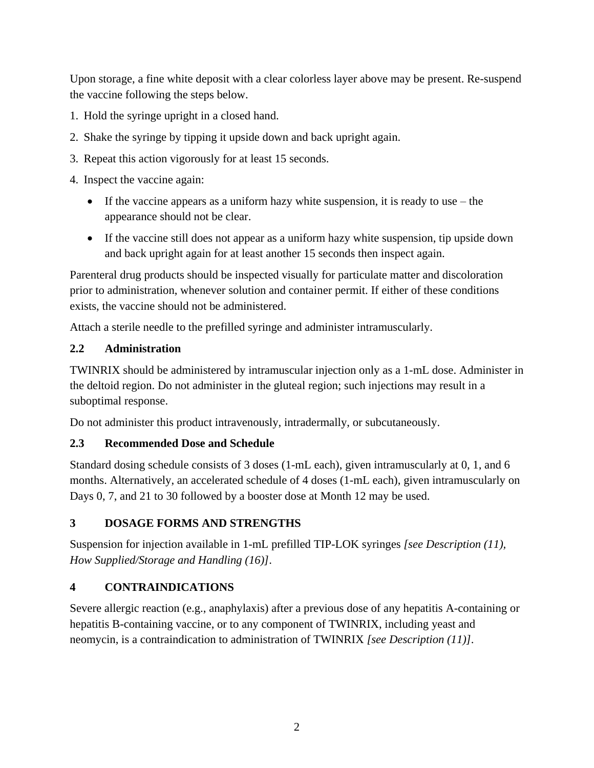Upon storage, a fine white deposit with a clear colorless layer above may be present. Re-suspend the vaccine following the steps below.

- 1. Hold the syringe upright in a closed hand.
- 2. Shake the syringe by tipping it upside down and back upright again.
- 3. Repeat this action vigorously for at least 15 seconds.
- 4. Inspect the vaccine again:
	- If the vaccine appears as a uniform hazy white suspension, it is ready to use the appearance should not be clear.
	- If the vaccine still does not appear as a uniform hazy white suspension, tip upside down and back upright again for at least another 15 seconds then inspect again.

Parenteral drug products should be inspected visually for particulate matter and discoloration prior to administration, whenever solution and container permit. If either of these conditions exists, the vaccine should not be administered.

Attach a sterile needle to the prefilled syringe and administer intramuscularly.

## <span id="page-1-0"></span>**2.2 Administration**

TWINRIX should be administered by intramuscular injection only as a 1-mL dose. Administer in the deltoid region. Do not administer in the gluteal region; such injections may result in a suboptimal response.

Do not administer this product intravenously, intradermally, or subcutaneously.

# <span id="page-1-1"></span>**2.3 Recommended Dose and Schedule**

Standard dosing schedule consists of 3 doses (1-mL each), given intramuscularly at 0, 1, and 6 months. Alternatively, an accelerated schedule of 4 doses (1-mL each), given intramuscularly on Days 0, 7, and 21 to 30 followed by a booster dose at Month 12 may be used.

# <span id="page-1-2"></span>**3 DOSAGE FORMS AND STRENGTHS**

Suspension for injection available in 1-mL prefilled TIP-LOK syringes *[see Description (11), How Supplied/Storage and Handling (16)]*.

## <span id="page-1-3"></span>**4 CONTRAINDICATIONS**

Severe allergic reaction (e.g., anaphylaxis) after a previous dose of any hepatitis A-containing or hepatitis B-containing vaccine, or to any component of TWINRIX, including yeast and neomycin, is a contraindication to administration of TWINRIX *[see Description (11)]*.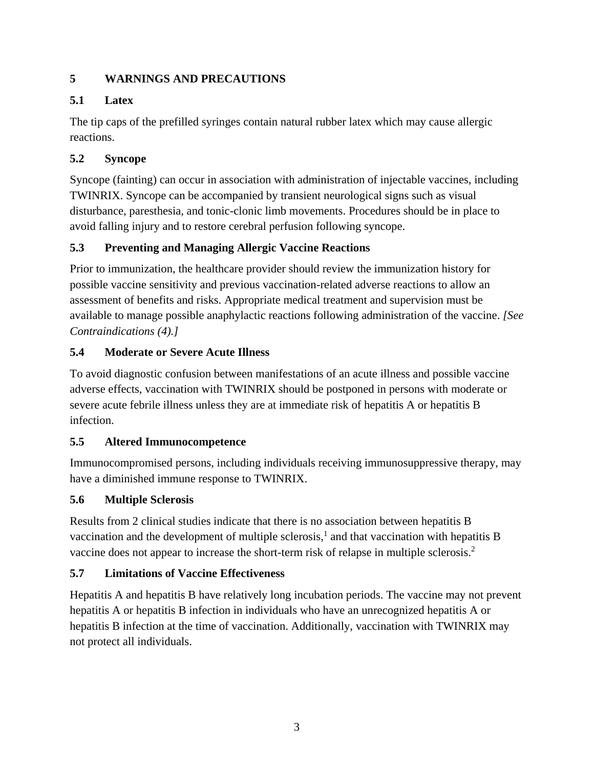# <span id="page-2-0"></span>**5 WARNINGS AND PRECAUTIONS**

# <span id="page-2-1"></span>**5.1 Latex**

The tip caps of the prefilled syringes contain natural rubber latex which may cause allergic reactions.

# <span id="page-2-2"></span>**5.2 Syncope**

Syncope (fainting) can occur in association with administration of injectable vaccines, including TWINRIX. Syncope can be accompanied by transient neurological signs such as visual disturbance, paresthesia, and tonic-clonic limb movements. Procedures should be in place to avoid falling injury and to restore cerebral perfusion following syncope.

# <span id="page-2-3"></span>**5.3 Preventing and Managing Allergic Vaccine Reactions**

Prior to immunization, the healthcare provider should review the immunization history for possible vaccine sensitivity and previous vaccination-related adverse reactions to allow an assessment of benefits and risks. Appropriate medical treatment and supervision must be available to manage possible anaphylactic reactions following administration of the vaccine. *[See Contraindications (4).]*

# <span id="page-2-4"></span>**5.4 Moderate or Severe Acute Illness**

To avoid diagnostic confusion between manifestations of an acute illness and possible vaccine adverse effects, vaccination with TWINRIX should be postponed in persons with moderate or severe acute febrile illness unless they are at immediate risk of hepatitis A or hepatitis B infection.

# <span id="page-2-5"></span>**5.5 Altered Immunocompetence**

Immunocompromised persons, including individuals receiving immunosuppressive therapy, may have a diminished immune response to TWINRIX.

# <span id="page-2-6"></span>**5.6 Multiple Sclerosis**

Results from 2 clinical studies indicate that there is no association between hepatitis B vaccination and the development of multiple sclerosis,<sup>1</sup> and that vaccination with hepatitis B vaccine does not appear to increase the short-term risk of relapse in multiple sclerosis.<sup>2</sup>

# <span id="page-2-7"></span>**5.7 Limitations of Vaccine Effectiveness**

Hepatitis A and hepatitis B have relatively long incubation periods. The vaccine may not prevent hepatitis A or hepatitis B infection in individuals who have an unrecognized hepatitis A or hepatitis B infection at the time of vaccination. Additionally, vaccination with TWINRIX may not protect all individuals.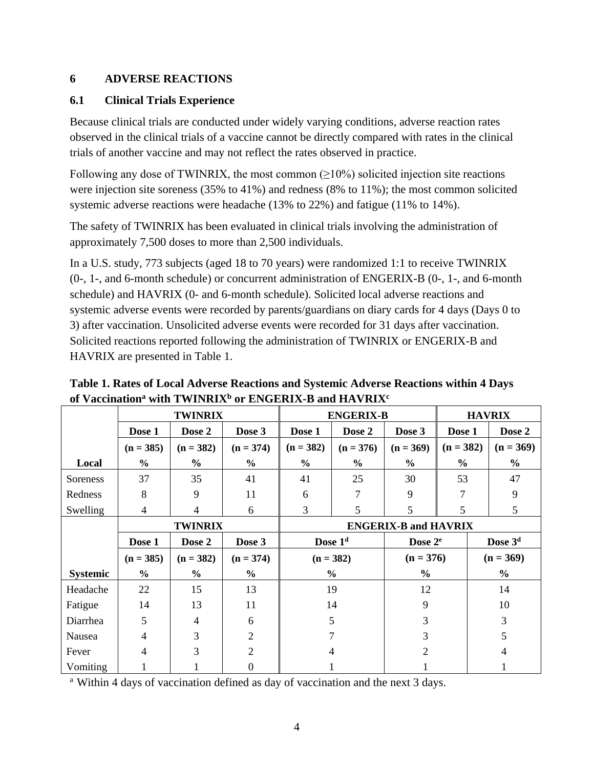# <span id="page-3-0"></span>**6 ADVERSE REACTIONS**

# <span id="page-3-1"></span>**6.1 Clinical Trials Experience**

Because clinical trials are conducted under widely varying conditions, adverse reaction rates observed in the clinical trials of a vaccine cannot be directly compared with rates in the clinical trials of another vaccine and may not reflect the rates observed in practice.

Following any dose of TWINRIX, the most common  $(\geq 10\%)$  solicited injection site reactions were injection site soreness (35% to 41%) and redness (8% to 11%); the most common solicited systemic adverse reactions were headache (13% to 22%) and fatigue (11% to 14%).

The safety of TWINRIX has been evaluated in clinical trials involving the administration of approximately 7,500 doses to more than 2,500 individuals.

In a U.S. study, 773 subjects (aged 18 to 70 years) were randomized 1:1 to receive TWINRIX (0-, 1-, and 6-month schedule) or concurrent administration of ENGERIX-B (0-, 1-, and 6-month schedule) and HAVRIX (0- and 6-month schedule). Solicited local adverse reactions and systemic adverse events were recorded by parents/guardians on diary cards for 4 days (Days 0 to 3) after vaccination. Unsolicited adverse events were recorded for 31 days after vaccination. Solicited reactions reported following the administration of TWINRIX or ENGERIX-B and HAVRIX are presented in Table 1.

| of Vaccination <sup>®</sup> with TWINRIX <sup>®</sup> or ENGERIX-B and HAVRIX <sup>C</sup> |                |             |               |                             |               |               |                |             |
|--------------------------------------------------------------------------------------------|----------------|-------------|---------------|-----------------------------|---------------|---------------|----------------|-------------|
|                                                                                            | <b>TWINRIX</b> |             |               | <b>ENGERIX-B</b>            |               |               | <b>HAVRIX</b>  |             |
|                                                                                            | Dose 1         | Dose 2      | Dose 3        | Dose 1                      | Dose 2        | Dose 3        | Dose 1         | Dose 2      |
|                                                                                            | $(n = 385)$    | $(n = 382)$ | $(n = 374)$   | $(n = 382)$                 | $(n = 376)$   | $(n = 369)$   | $(n = 382)$    | $(n = 369)$ |
| Local                                                                                      | $\frac{6}{10}$ | $\%$        | $\frac{6}{9}$ | $\frac{6}{9}$               | $\frac{6}{6}$ | $\frac{6}{9}$ | $\frac{6}{10}$ | $\%$        |
| Soreness                                                                                   | 37             | 35          | 41            | 41                          | 25            | 30            | 53             | 47          |
| Redness                                                                                    | 8              | 9           | 11            | 6                           |               | 9             |                |             |
| Swelling                                                                                   | 4              | 4           | 6             | 3                           |               |               |                |             |
|                                                                                            | TWINRIX        |             |               | <b>ENGERIX-B and HAVRIX</b> |               |               |                |             |

**Table 1. Rates of Local Adverse Reactions and Systemic Adverse Reactions within 4 Days of Vaccination<sup>a</sup> with TWINRIX<sup>b</sup> or ENGERIX-B and HAVRIX<sup>c</sup>**

**Systemic TWINRIX ENGERIX-B and HAVRIX Dose 1 Dose 2 Dose 3 Dose 1<sup>d</sup> Dose 2<sup>e</sup> <b>Dose 3**<sup>d</sup>  $(n = 385)$ **%**  $(n = 382)$ **%**  $(n = 374)$ **% (n = 382) %**  $(n = 376)$ **%**  $(n = 369)$ **%** Headache 22 15 13 19 12 12 Fatigue 14 13 11 14 9 10 Diarrhea | 5 | 4 | 6 | 5 | 3 | 3 Nausea | 4 | 3 | 2 | 7 | 3 | 5 Fever | 4 | 3 | 2 | 4 | 2 | 4 Vomiting 1 1 1 0 1 1 1 1 1

<sup>a</sup> Within 4 days of vaccination defined as day of vaccination and the next 3 days.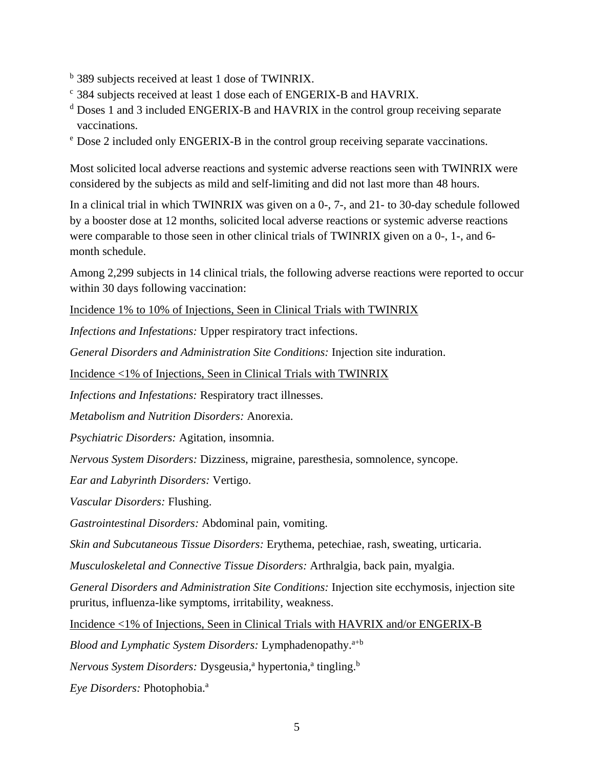- <sup>b</sup> 389 subjects received at least 1 dose of TWINRIX.
- <sup>c</sup> 384 subjects received at least 1 dose each of ENGERIX-B and HAVRIX.
- <sup>d</sup> Doses 1 and 3 included ENGERIX-B and HAVRIX in the control group receiving separate vaccinations.
- <sup>e</sup> Dose 2 included only ENGERIX-B in the control group receiving separate vaccinations.

Most solicited local adverse reactions and systemic adverse reactions seen with TWINRIX were considered by the subjects as mild and self-limiting and did not last more than 48 hours.

In a clinical trial in which TWINRIX was given on a 0-, 7-, and 21- to 30-day schedule followed by a booster dose at 12 months, solicited local adverse reactions or systemic adverse reactions were comparable to those seen in other clinical trials of TWINRIX given on a 0-, 1-, and 6 month schedule.

Among 2,299 subjects in 14 clinical trials, the following adverse reactions were reported to occur within 30 days following vaccination:

Incidence 1% to 10% of Injections, Seen in Clinical Trials with TWINRIX

*Infections and Infestations:* Upper respiratory tract infections.

*General Disorders and Administration Site Conditions:* Injection site induration.

Incidence <1% of Injections, Seen in Clinical Trials with TWINRIX

*Infections and Infestations:* Respiratory tract illnesses.

*Metabolism and Nutrition Disorders:* Anorexia.

*Psychiatric Disorders:* Agitation, insomnia.

*Nervous System Disorders:* Dizziness, migraine, paresthesia, somnolence, syncope.

*Ear and Labyrinth Disorders:* Vertigo.

*Vascular Disorders:* Flushing.

*Gastrointestinal Disorders:* Abdominal pain, vomiting.

*Skin and Subcutaneous Tissue Disorders:* Erythema, petechiae, rash, sweating, urticaria.

*Musculoskeletal and Connective Tissue Disorders:* Arthralgia, back pain, myalgia.

*General Disorders and Administration Site Conditions:* Injection site ecchymosis, injection site pruritus, influenza-like symptoms, irritability, weakness.

Incidence <1% of Injections, Seen in Clinical Trials with HAVRIX and/or ENGERIX-B

*Blood and Lymphatic System Disorders:* Lymphadenopathy.<sup>a+b</sup>

Nervous System Disorders: Dysgeusia,<sup>a</sup> hypertonia,<sup>a</sup> tingling.<sup>b</sup>

*Eye Disorders:* Photophobia.<sup>a</sup>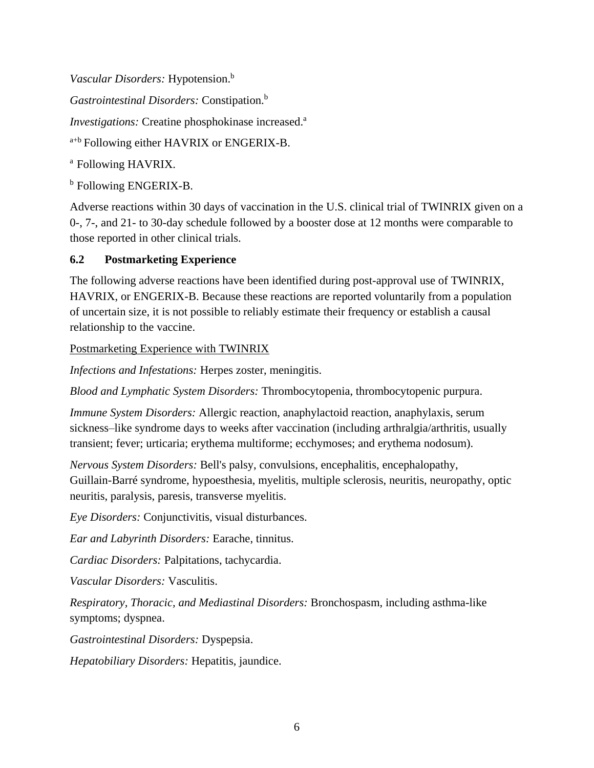*Vascular Disorders:* Hypotension.<sup>b</sup> *Gastrointestinal Disorders:* Constipation.<sup>b</sup> *Investigations:* Creatine phosphokinase increased. a a<sup>+b</sup> Following either HAVRIX or ENGERIX-B. <sup>a</sup> Following HAVRIX.

<sup>b</sup> Following ENGERIX-B.

Adverse reactions within 30 days of vaccination in the U.S. clinical trial of TWINRIX given on a 0-, 7-, and 21- to 30-day schedule followed by a booster dose at 12 months were comparable to those reported in other clinical trials.

# <span id="page-5-0"></span>**6.2 Postmarketing Experience**

The following adverse reactions have been identified during post-approval use of TWINRIX, HAVRIX, or ENGERIX-B. Because these reactions are reported voluntarily from a population of uncertain size, it is not possible to reliably estimate their frequency or establish a causal relationship to the vaccine.

## Postmarketing Experience with TWINRIX

*Infections and Infestations:* Herpes zoster, meningitis.

*Blood and Lymphatic System Disorders:* Thrombocytopenia, thrombocytopenic purpura.

*Immune System Disorders:* Allergic reaction, anaphylactoid reaction, anaphylaxis, serum sickness–like syndrome days to weeks after vaccination (including arthralgia/arthritis, usually transient; fever; urticaria; erythema multiforme; ecchymoses; and erythema nodosum).

*Nervous System Disorders:* Bell's palsy, convulsions, encephalitis, encephalopathy, Guillain-Barré syndrome, hypoesthesia, myelitis, multiple sclerosis, neuritis, neuropathy, optic neuritis, paralysis, paresis, transverse myelitis.

*Eye Disorders:* Conjunctivitis, visual disturbances.

*Ear and Labyrinth Disorders:* Earache, tinnitus.

*Cardiac Disorders:* Palpitations, tachycardia.

*Vascular Disorders:* Vasculitis.

*Respiratory, Thoracic, and Mediastinal Disorders:* Bronchospasm, including asthma-like symptoms; dyspnea.

*Gastrointestinal Disorders:* Dyspepsia.

*Hepatobiliary Disorders:* Hepatitis, jaundice.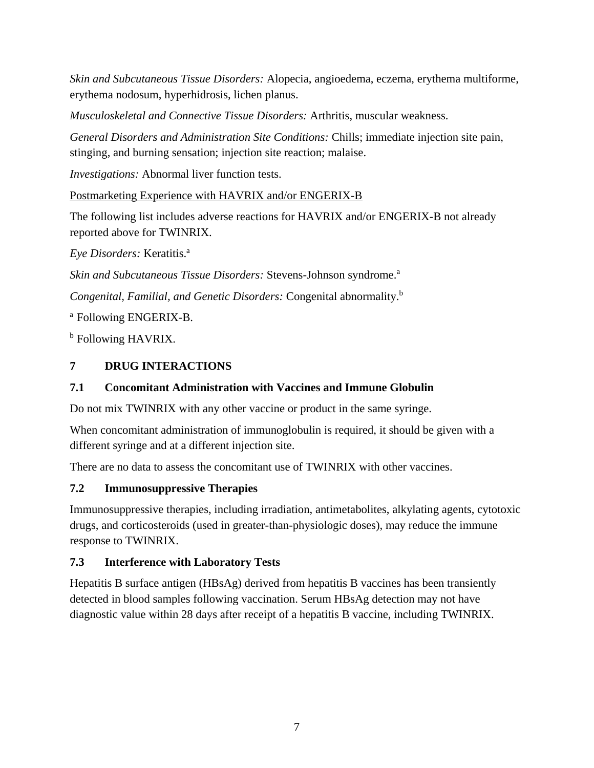*Skin and Subcutaneous Tissue Disorders:* Alopecia, angioedema, eczema, erythema multiforme, erythema nodosum, hyperhidrosis, lichen planus.

*Musculoskeletal and Connective Tissue Disorders:* Arthritis, muscular weakness.

*General Disorders and Administration Site Conditions:* Chills; immediate injection site pain, stinging, and burning sensation; injection site reaction; malaise.

*Investigations:* Abnormal liver function tests.

Postmarketing Experience with HAVRIX and/or ENGERIX-B

The following list includes adverse reactions for HAVRIX and/or ENGERIX-B not already reported above for TWINRIX.

*Eye Disorders:* Keratitis.<sup>a</sup>

*Skin and Subcutaneous Tissue Disorders: Stevens-Johnson syndrome.*<sup>a</sup>

*Congenital, Familial, and Genetic Disorders:* Congenital abnormality.<sup>b</sup>

<sup>a</sup> Following ENGERIX-B.

<span id="page-6-0"></span><sup>b</sup> Following HAVRIX.

## **7 DRUG INTERACTIONS**

## <span id="page-6-1"></span>**7.1 Concomitant Administration with Vaccines and Immune Globulin**

Do not mix TWINRIX with any other vaccine or product in the same syringe.

When concomitant administration of immunoglobulin is required, it should be given with a different syringe and at a different injection site.

There are no data to assess the concomitant use of TWINRIX with other vaccines.

## <span id="page-6-2"></span>**7.2 Immunosuppressive Therapies**

Immunosuppressive therapies, including irradiation, antimetabolites, alkylating agents, cytotoxic drugs, and corticosteroids (used in greater-than-physiologic doses), may reduce the immune response to TWINRIX.

## <span id="page-6-3"></span>**7.3 Interference with Laboratory Tests**

Hepatitis B surface antigen (HBsAg) derived from hepatitis B vaccines has been transiently detected in blood samples following vaccination. Serum HBsAg detection may not have diagnostic value within 28 days after receipt of a hepatitis B vaccine, including TWINRIX.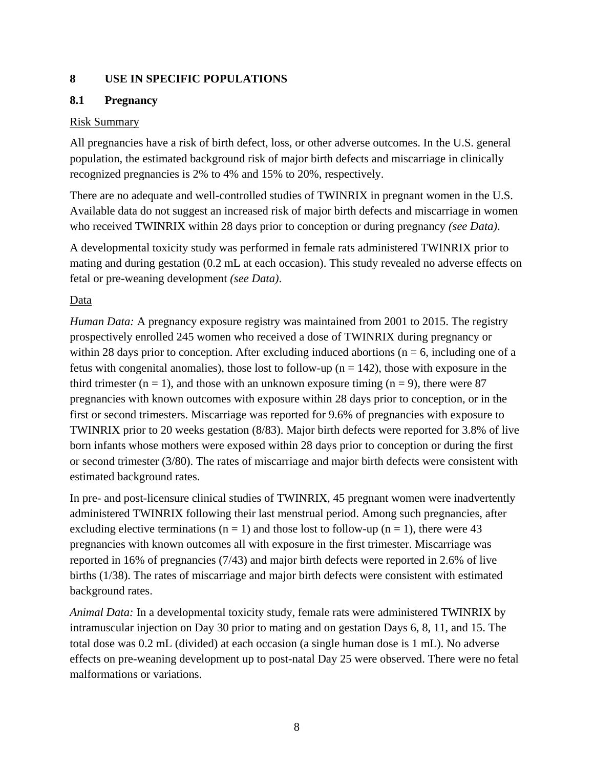## <span id="page-7-0"></span>**8 USE IN SPECIFIC POPULATIONS**

# <span id="page-7-1"></span>**8.1 Pregnancy**

## Risk Summary

All pregnancies have a risk of birth defect, loss, or other adverse outcomes. In the U.S. general population, the estimated background risk of major birth defects and miscarriage in clinically recognized pregnancies is 2% to 4% and 15% to 20%, respectively.

There are no adequate and well-controlled studies of TWINRIX in pregnant women in the U.S. Available data do not suggest an increased risk of major birth defects and miscarriage in women who received TWINRIX within 28 days prior to conception or during pregnancy *(see Data)*.

A developmental toxicity study was performed in female rats administered TWINRIX prior to mating and during gestation (0.2 mL at each occasion). This study revealed no adverse effects on fetal or pre-weaning development *(see Data)*.

Data

*Human Data:* A pregnancy exposure registry was maintained from 2001 to 2015. The registry prospectively enrolled 245 women who received a dose of TWINRIX during pregnancy or within 28 days prior to conception. After excluding induced abortions ( $n = 6$ , including one of a fetus with congenital anomalies), those lost to follow-up ( $n = 142$ ), those with exposure in the third trimester ( $n = 1$ ), and those with an unknown exposure timing ( $n = 9$ ), there were 87 pregnancies with known outcomes with exposure within 28 days prior to conception, or in the first or second trimesters. Miscarriage was reported for 9.6% of pregnancies with exposure to TWINRIX prior to 20 weeks gestation (8/83). Major birth defects were reported for 3.8% of live born infants whose mothers were exposed within 28 days prior to conception or during the first or second trimester (3/80). The rates of miscarriage and major birth defects were consistent with estimated background rates.

In pre- and post-licensure clinical studies of TWINRIX, 45 pregnant women were inadvertently administered TWINRIX following their last menstrual period. Among such pregnancies, after excluding elective terminations ( $n = 1$ ) and those lost to follow-up ( $n = 1$ ), there were 43 pregnancies with known outcomes all with exposure in the first trimester. Miscarriage was reported in 16% of pregnancies (7/43) and major birth defects were reported in 2.6% of live births (1/38). The rates of miscarriage and major birth defects were consistent with estimated background rates.

*Animal Data:* In a developmental toxicity study, female rats were administered TWINRIX by intramuscular injection on Day 30 prior to mating and on gestation Days 6, 8, 11, and 15. The total dose was 0.2 mL (divided) at each occasion (a single human dose is 1 mL). No adverse effects on pre-weaning development up to post-natal Day 25 were observed. There were no fetal malformations or variations.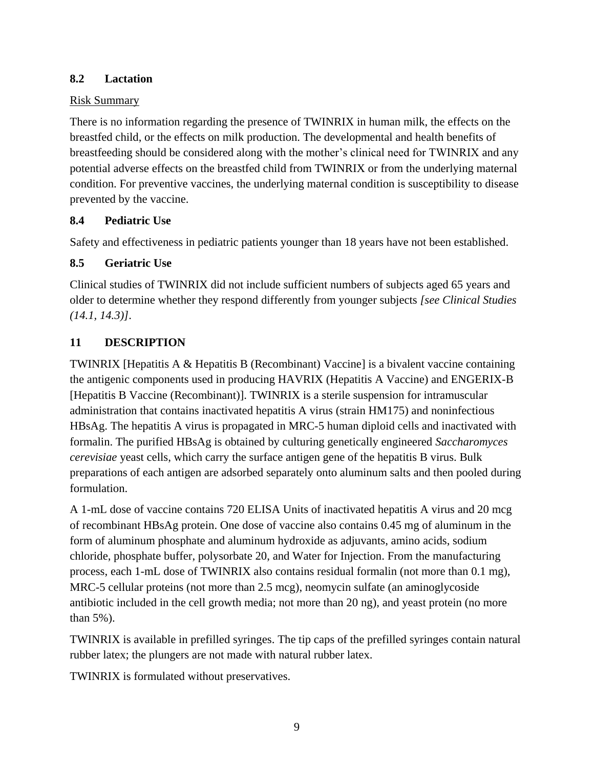# <span id="page-8-0"></span>**8.2 Lactation**

## Risk Summary

There is no information regarding the presence of TWINRIX in human milk, the effects on the breastfed child, or the effects on milk production. The developmental and health benefits of breastfeeding should be considered along with the mother's clinical need for TWINRIX and any potential adverse effects on the breastfed child from TWINRIX or from the underlying maternal condition. For preventive vaccines, the underlying maternal condition is susceptibility to disease prevented by the vaccine.

## <span id="page-8-1"></span>**8.4 Pediatric Use**

Safety and effectiveness in pediatric patients younger than 18 years have not been established.

# <span id="page-8-2"></span>**8.5 Geriatric Use**

Clinical studies of TWINRIX did not include sufficient numbers of subjects aged 65 years and older to determine whether they respond differently from younger subjects *[see Clinical Studies (14.1, 14.3)]*.

# <span id="page-8-3"></span>**11 DESCRIPTION**

TWINRIX [Hepatitis A & Hepatitis B (Recombinant) Vaccine] is a bivalent vaccine containing the antigenic components used in producing HAVRIX (Hepatitis A Vaccine) and ENGERIX-B [Hepatitis B Vaccine (Recombinant)]. TWINRIX is a sterile suspension for intramuscular administration that contains inactivated hepatitis A virus (strain HM175) and noninfectious HBsAg. The hepatitis A virus is propagated in MRC-5 human diploid cells and inactivated with formalin. The purified HBsAg is obtained by culturing genetically engineered *Saccharomyces cerevisiae* yeast cells, which carry the surface antigen gene of the hepatitis B virus. Bulk preparations of each antigen are adsorbed separately onto aluminum salts and then pooled during formulation.

A 1-mL dose of vaccine contains 720 ELISA Units of inactivated hepatitis A virus and 20 mcg of recombinant HBsAg protein. One dose of vaccine also contains 0.45 mg of aluminum in the form of aluminum phosphate and aluminum hydroxide as adjuvants, amino acids, sodium chloride, phosphate buffer, polysorbate 20, and Water for Injection. From the manufacturing process, each 1-mL dose of TWINRIX also contains residual formalin (not more than 0.1 mg), MRC-5 cellular proteins (not more than 2.5 mcg), neomycin sulfate (an aminoglycoside antibiotic included in the cell growth media; not more than 20 ng), and yeast protein (no more than 5%).

TWINRIX is available in prefilled syringes. The tip caps of the prefilled syringes contain natural rubber latex; the plungers are not made with natural rubber latex.

TWINRIX is formulated without preservatives.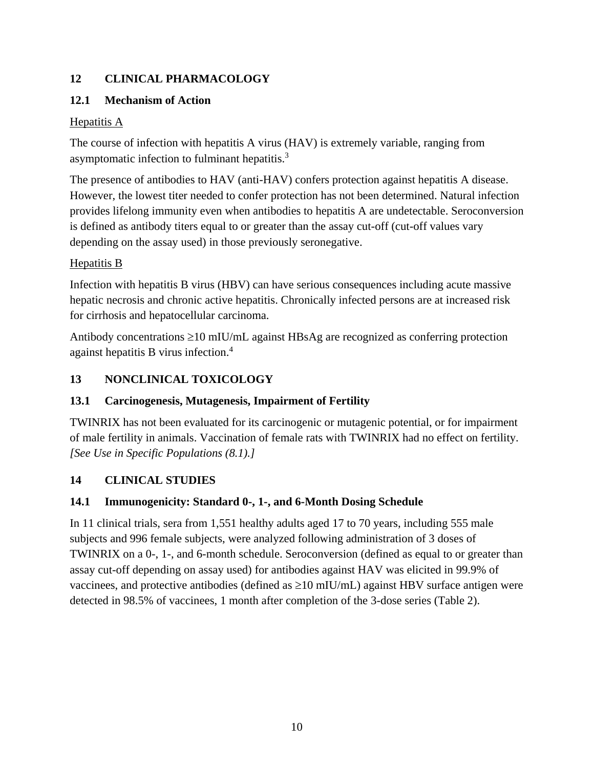# <span id="page-9-0"></span>**12 CLINICAL PHARMACOLOGY**

# <span id="page-9-1"></span>**12.1 Mechanism of Action**

# Hepatitis A

The course of infection with hepatitis A virus (HAV) is extremely variable, ranging from asymptomatic infection to fulminant hepatitis.<sup>3</sup>

The presence of antibodies to HAV (anti-HAV) confers protection against hepatitis A disease. However, the lowest titer needed to confer protection has not been determined. Natural infection provides lifelong immunity even when antibodies to hepatitis A are undetectable. Seroconversion is defined as antibody titers equal to or greater than the assay cut-off (cut-off values vary depending on the assay used) in those previously seronegative.

# Hepatitis B

Infection with hepatitis B virus (HBV) can have serious consequences including acute massive hepatic necrosis and chronic active hepatitis. Chronically infected persons are at increased risk for cirrhosis and hepatocellular carcinoma.

Antibody concentrations  $\geq 10$  mIU/mL against HBsAg are recognized as conferring protection against hepatitis B virus infection.<sup>4</sup>

# <span id="page-9-2"></span>**13 NONCLINICAL TOXICOLOGY**

# <span id="page-9-3"></span>**13.1 Carcinogenesis, Mutagenesis, Impairment of Fertility**

TWINRIX has not been evaluated for its carcinogenic or mutagenic potential, or for impairment of male fertility in animals. Vaccination of female rats with TWINRIX had no effect on fertility. *[See Use in Specific Populations (8.1).]*

# <span id="page-9-4"></span>**14 CLINICAL STUDIES**

# <span id="page-9-5"></span>**14.1 Immunogenicity: Standard 0-, 1-, and 6-Month Dosing Schedule**

In 11 clinical trials, sera from 1,551 healthy adults aged 17 to 70 years, including 555 male subjects and 996 female subjects, were analyzed following administration of 3 doses of TWINRIX on a 0-, 1-, and 6-month schedule. Seroconversion (defined as equal to or greater than assay cut-off depending on assay used) for antibodies against HAV was elicited in 99.9% of vaccinees, and protective antibodies (defined as  $\geq 10$  mIU/mL) against HBV surface antigen were detected in 98.5% of vaccinees, 1 month after completion of the 3-dose series (Table 2).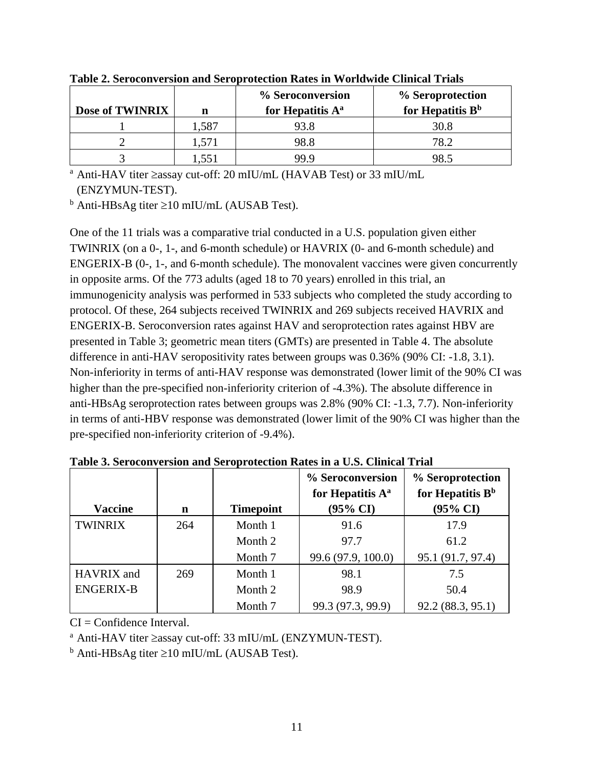| Dose of TWINRIX | n     | % Seroconversion<br>for Hepatitis A <sup>a</sup> | % Seroprotection<br>for Hepatitis B <sup>b</sup> |
|-----------------|-------|--------------------------------------------------|--------------------------------------------------|
|                 | 1.587 | 93.8                                             | 30.8                                             |
|                 | 1,571 | 98.8                                             | 78.2                                             |
|                 | .551  | 99.9                                             | 98.5                                             |

**Table 2. Seroconversion and Seroprotection Rates in Worldwide Clinical Trials**

<sup>a</sup> Anti-HAV titer  $\geq$ assay cut-off: 20 mIU/mL (HAVAB Test) or 33 mIU/mL (ENZYMUN-TEST).

 $<sup>b</sup>$  Anti-HBsAg titer  $\geq$ 10 mIU/mL (AUSAB Test).</sup>

One of the 11 trials was a comparative trial conducted in a U.S. population given either TWINRIX (on a 0-, 1-, and 6-month schedule) or HAVRIX (0- and 6-month schedule) and ENGERIX-B (0-, 1-, and 6-month schedule). The monovalent vaccines were given concurrently in opposite arms. Of the 773 adults (aged 18 to 70 years) enrolled in this trial, an immunogenicity analysis was performed in 533 subjects who completed the study according to protocol. Of these, 264 subjects received TWINRIX and 269 subjects received HAVRIX and ENGERIX-B. Seroconversion rates against HAV and seroprotection rates against HBV are presented in Table 3; geometric mean titers (GMTs) are presented in Table 4. The absolute difference in anti-HAV seropositivity rates between groups was 0.36% (90% CI: -1.8, 3.1). Non-inferiority in terms of anti-HAV response was demonstrated (lower limit of the 90% CI was higher than the pre-specified non-inferiority criterion of  $-4.3\%$ ). The absolute difference in anti-HBsAg seroprotection rates between groups was 2.8% (90% CI: -1.3, 7.7). Non-inferiority in terms of anti-HBV response was demonstrated (lower limit of the 90% CI was higher than the pre-specified non-inferiority criterion of -9.4%).

|                  |     |                  | % Seroconversion<br>for Hepatitis A <sup>a</sup> | % Seroprotection<br>for Hepatitis B <sup>b</sup> |
|------------------|-----|------------------|--------------------------------------------------|--------------------------------------------------|
| <b>Vaccine</b>   | n   | <b>Timepoint</b> | $(95\% \text{ CI})$                              | $(95\% \text{ CI})$                              |
| <b>TWINRIX</b>   | 264 | Month 1          | 91.6                                             | 17.9                                             |
|                  |     | Month 2          | 97.7                                             | 61.2                                             |
|                  |     | Month 7          | 99.6 (97.9, 100.0)                               | 95.1 (91.7, 97.4)                                |
| HAVRIX and       | 269 | Month 1          | 98.1                                             | 7.5                                              |
| <b>ENGERIX-B</b> |     | Month 2          | 98.9                                             | 50.4                                             |
|                  |     | Month 7          | 99.3 (97.3, 99.9)                                | 92.2 (88.3, 95.1)                                |

**Table 3. Seroconversion and Seroprotection Rates in a U.S. Clinical Trial**

 $CI = Confidence Interval$ .

 $^{\circ}$  Anti-HAV titer  $\geq$ assay cut-off: 33 mIU/mL (ENZYMUN-TEST).

 $<sup>b</sup>$  Anti-HBsAg titer  $\geq$ 10 mIU/mL (AUSAB Test).</sup>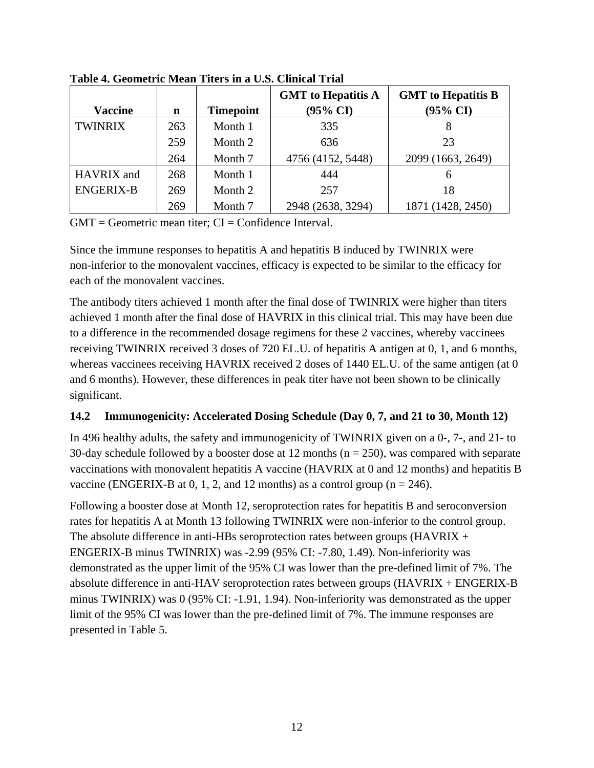| <b>Vaccine</b>   |     | <b>Timepoint</b> | <b>GMT</b> to Hepatitis A<br>$(95\% \text{ CI})$ | <b>GMT</b> to Hepatitis B<br>$(95\% \text{ CI})$ |
|------------------|-----|------------------|--------------------------------------------------|--------------------------------------------------|
|                  | n   |                  |                                                  |                                                  |
| <b>TWINRIX</b>   | 263 | Month 1          | 335                                              | 8                                                |
|                  | 259 | Month 2          | 636                                              | 23                                               |
|                  | 264 | Month 7          | 4756 (4152, 5448)                                | 2099 (1663, 2649)                                |
| HAVRIX and       | 268 | Month 1          | 444                                              | 6                                                |
| <b>ENGERIX-B</b> | 269 | Month 2          | 257                                              | 18                                               |
|                  | 269 | Month 7          | 2948 (2638, 3294)                                | 1871 (1428, 2450)                                |

**Table 4. Geometric Mean Titers in a U.S. Clinical Trial**

 $GMT = Geometric$  mean titer;  $CI = Confidence$  Interval.

Since the immune responses to hepatitis A and hepatitis B induced by TWINRIX were non-inferior to the monovalent vaccines, efficacy is expected to be similar to the efficacy for each of the monovalent vaccines.

The antibody titers achieved 1 month after the final dose of TWINRIX were higher than titers achieved 1 month after the final dose of HAVRIX in this clinical trial. This may have been due to a difference in the recommended dosage regimens for these 2 vaccines, whereby vaccinees receiving TWINRIX received 3 doses of 720 EL.U. of hepatitis A antigen at 0, 1, and 6 months, whereas vaccinees receiving HAVRIX received 2 doses of 1440 EL.U. of the same antigen (at 0 and 6 months). However, these differences in peak titer have not been shown to be clinically significant.

# <span id="page-11-0"></span>**14.2 Immunogenicity: Accelerated Dosing Schedule (Day 0, 7, and 21 to 30, Month 12)**

In 496 healthy adults, the safety and immunogenicity of TWINRIX given on a 0-, 7-, and 21- to 30-day schedule followed by a booster dose at 12 months ( $n = 250$ ), was compared with separate vaccinations with monovalent hepatitis A vaccine (HAVRIX at 0 and 12 months) and hepatitis B vaccine (ENGERIX-B at 0, 1, 2, and 12 months) as a control group ( $n = 246$ ).

Following a booster dose at Month 12, seroprotection rates for hepatitis B and seroconversion rates for hepatitis A at Month 13 following TWINRIX were non-inferior to the control group. The absolute difference in anti-HBs seroprotection rates between groups  $(HAVRIX +$ ENGERIX-B minus TWINRIX) was -2.99 (95% CI: -7.80, 1.49). Non-inferiority was demonstrated as the upper limit of the 95% CI was lower than the pre-defined limit of 7%. The absolute difference in anti-HAV seroprotection rates between groups (HAVRIX + ENGERIX-B minus TWINRIX) was 0 (95% CI: -1.91, 1.94). Non-inferiority was demonstrated as the upper limit of the 95% CI was lower than the pre-defined limit of 7%. The immune responses are presented in Table 5.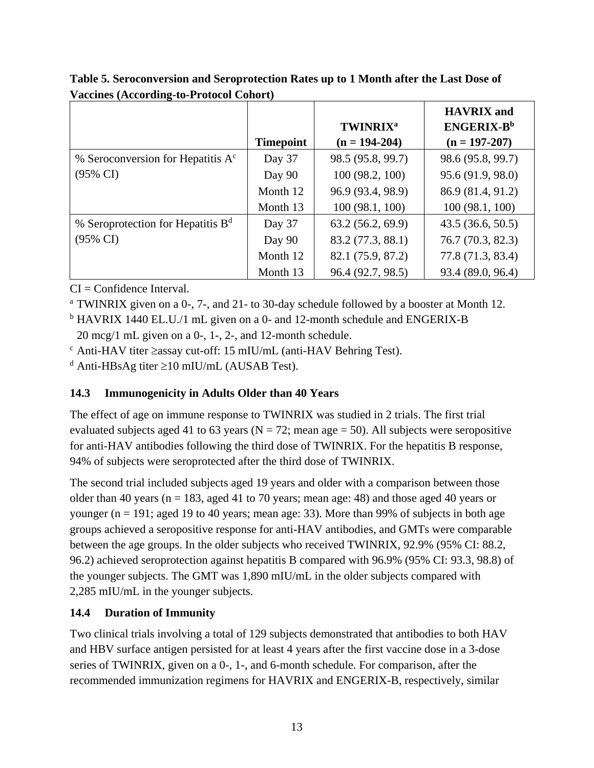|                                     |                  |                             | <b>HAVRIX</b> and      |
|-------------------------------------|------------------|-----------------------------|------------------------|
|                                     |                  | <b>TWINRIX</b> <sup>a</sup> | ENGERIX-B <sup>b</sup> |
|                                     | <b>Timepoint</b> | $(n = 194-204)$             | $(n = 197 - 207)$      |
| % Seroconversion for Hepatitis $Ac$ | Day 37           | 98.5 (95.8, 99.7)           | 98.6 (95.8, 99.7)      |
| $(95\% \text{ CI})$                 | Day 90           | 100 (98.2, 100)             | 95.6 (91.9, 98.0)      |
|                                     | Month 12         | 96.9 (93.4, 98.9)           | 86.9 (81.4, 91.2)      |
|                                     | Month 13         | 100(98.1, 100)              | 100(98.1, 100)         |
| % Seroprotection for Hepatitis $Bd$ | Day 37           | 63.2(56.2, 69.9)            | 43.5(36.6, 50.5)       |
| $(95\% \text{ CI})$                 | Day 90           | 83.2 (77.3, 88.1)           | 76.7 (70.3, 82.3)      |
|                                     | Month 12         | 82.1 (75.9, 87.2)           | 77.8 (71.3, 83.4)      |
|                                     | Month 13         | 96.4 (92.7, 98.5)           | 93.4 (89.0, 96.4)      |

**Table 5. Seroconversion and Seroprotection Rates up to 1 Month after the Last Dose of Vaccines (According-to-Protocol Cohort)**

 $CI = Confidence Interval$ .

<sup>a</sup> TWINRIX given on a 0-, 7-, and 21- to 30-day schedule followed by a booster at Month 12.

<sup>b</sup> HAVRIX 1440 EL.U./1 mL given on a 0- and 12-month schedule and ENGERIX-B 20 mcg/1 mL given on a 0-, 1-, 2-, and 12-month schedule.

 $\textdegree$  Anti-HAV titer  $\geq$ assay cut-off: 15 mIU/mL (anti-HAV Behring Test).

<sup>d</sup> Anti-HBsAg titer  $\geq$ 10 mIU/mL (AUSAB Test).

# <span id="page-12-0"></span>**14.3 Immunogenicity in Adults Older than 40 Years**

The effect of age on immune response to TWINRIX was studied in 2 trials. The first trial evaluated subjects aged 41 to 63 years ( $N = 72$ ; mean age = 50). All subjects were seropositive for anti-HAV antibodies following the third dose of TWINRIX. For the hepatitis B response, 94% of subjects were seroprotected after the third dose of TWINRIX.

The second trial included subjects aged 19 years and older with a comparison between those older than 40 years ( $n = 183$ , aged 41 to 70 years; mean age: 48) and those aged 40 years or younger ( $n = 191$ ; aged 19 to 40 years; mean age: 33). More than 99% of subjects in both age groups achieved a seropositive response for anti-HAV antibodies, and GMTs were comparable between the age groups. In the older subjects who received TWINRIX, 92.9% (95% CI: 88.2, 96.2) achieved seroprotection against hepatitis B compared with 96.9% (95% CI: 93.3, 98.8) of the younger subjects. The GMT was 1,890 mIU/mL in the older subjects compared with 2,285 mIU/mL in the younger subjects.

# <span id="page-12-1"></span>**14.4 Duration of Immunity**

Two clinical trials involving a total of 129 subjects demonstrated that antibodies to both HAV and HBV surface antigen persisted for at least 4 years after the first vaccine dose in a 3-dose series of TWINRIX, given on a 0-, 1-, and 6-month schedule. For comparison, after the recommended immunization regimens for HAVRIX and ENGERIX-B*,* respectively, similar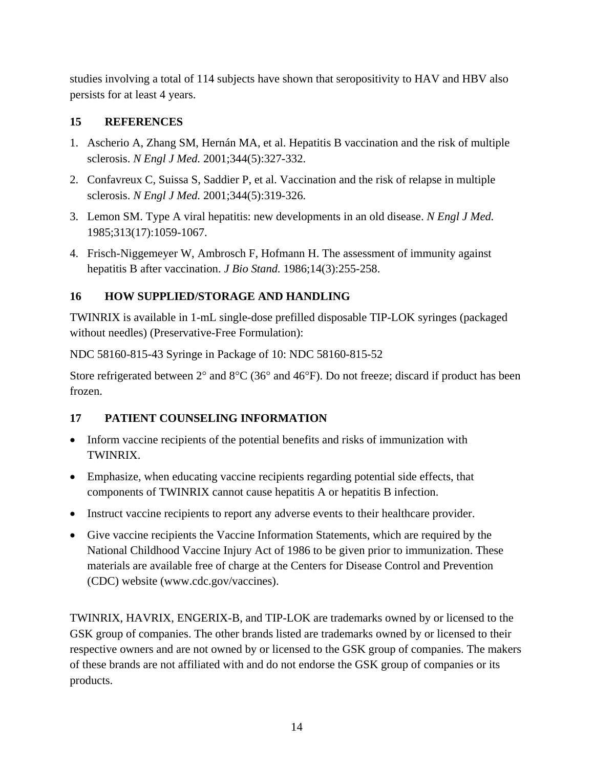studies involving a total of 114 subjects have shown that seropositivity to HAV and HBV also persists for at least 4 years.

# <span id="page-13-0"></span>**15 REFERENCES**

- 1. Ascherio A, Zhang SM, Hernán MA, et al. Hepatitis B vaccination and the risk of multiple sclerosis. *N Engl J Med.* 2001;344(5):327-332.
- 2. Confavreux C, Suissa S, Saddier P, et al. Vaccination and the risk of relapse in multiple sclerosis. *N Engl J Med.* 2001;344(5):319-326.
- 3. Lemon SM. Type A viral hepatitis: new developments in an old disease. *N Engl J Med.* 1985;313(17):1059-1067.
- 4. Frisch-Niggemeyer W, Ambrosch F, Hofmann H. The assessment of immunity against hepatitis B after vaccination. *J Bio Stand.* 1986;14(3):255-258.

# <span id="page-13-1"></span>**16 HOW SUPPLIED/STORAGE AND HANDLING**

TWINRIX is available in 1-mL single-dose prefilled disposable TIP-LOK syringes (packaged without needles) (Preservative-Free Formulation):

NDC 58160-815-43 Syringe in Package of 10: NDC 58160-815-52

Store refrigerated between  $2^{\circ}$  and  $8^{\circ}C$  (36° and 46°F). Do not freeze; discard if product has been frozen.

# <span id="page-13-2"></span>**17 PATIENT COUNSELING INFORMATION**

- Inform vaccine recipients of the potential benefits and risks of immunization with TWINRIX.
- Emphasize, when educating vaccine recipients regarding potential side effects, that components of TWINRIX cannot cause hepatitis A or hepatitis B infection.
- Instruct vaccine recipients to report any adverse events to their healthcare provider.
- Give vaccine recipients the Vaccine Information Statements, which are required by the National Childhood Vaccine Injury Act of 1986 to be given prior to immunization. These materials are available free of charge at the Centers for Disease Control and Prevention (CDC) website (www.cdc.gov/vaccines).

TWINRIX, HAVRIX, ENGERIX-B, and TIP-LOK are trademarks owned by or licensed to the GSK group of companies. The other brands listed are trademarks owned by or licensed to their respective owners and are not owned by or licensed to the GSK group of companies. The makers of these brands are not affiliated with and do not endorse the GSK group of companies or its products.